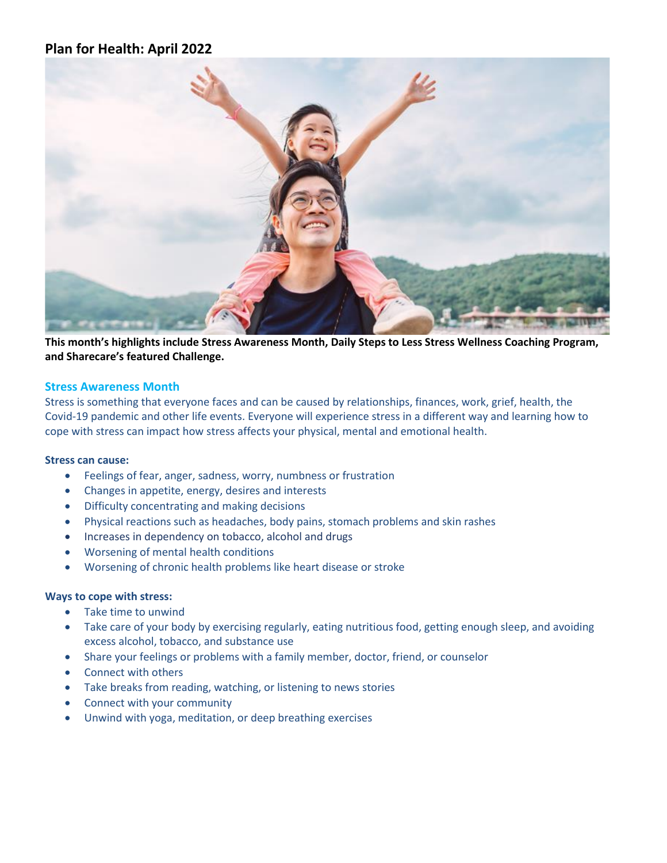# **Plan for Health: April 2022**



**This month's highlights include Stress Awareness Month, Daily Steps to Less Stress Wellness Coaching Program, and Sharecare's featured Challenge.**

### **Stress Awareness Month**

Stress is something that everyone faces and can be caused by relationships, finances, work, grief, health, the Covid-19 pandemic and other life events. Everyone will experience stress in a different way and learning how to cope with stress can impact how stress affects your physical, mental and emotional health.

### **Stress can cause:**

- Feelings of fear, anger, sadness, worry, numbness or frustration
- Changes in appetite, energy, desires and interests
- Difficulty concentrating and making decisions
- Physical reactions such as headaches, body pains, stomach problems and skin rashes
- Increases in dependency on tobacco, alcohol and drugs
- Worsening of mental health conditions
- Worsening of chronic health problems like heart disease or stroke

#### **Ways to cope with stress:**

- Take time to unwind
- Take care of your body by exercising regularly, eating nutritious food, getting enough sleep, and avoiding excess alcohol, tobacco, and substance use
- Share your feelings or problems with a family member, doctor, friend, or counselor
- Connect with others
- Take breaks from reading, watching, or listening to news stories
- Connect with your community
- Unwind with yoga, meditation, or deep breathing exercises